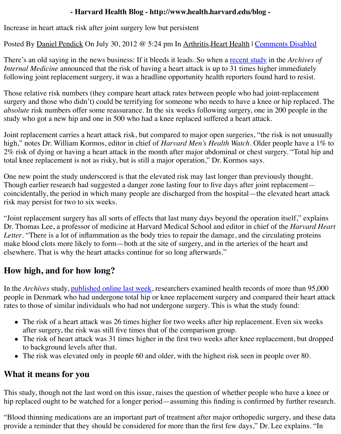There's an old saying in the news business: If it bleeds it leads. So when a recent study in the *Archives of Internal Medicine* announced that the risk of having a heart attack is up to 31 times higher imn following joint replacement surgery, it was a headline opportunity health reporters found hard

Those relative risk numbers (they compare heart attack rates between people who had joint-rep surgery and those who didn't) could be terrifying for someone who needs to have a knee or hip *absolute* risk numbers offer some reassurance. In the six weeks following surgery, one in 200 per study who got a new hip and one in 500 who had a knee replaced suffered [a heart attac](http://archinte.jamanetwork.com/article.aspx?articleid=1221716)k.

Joint replacement carries a heart attack risk, but compared to major open surgeries, "the risk is high," notes Dr. William Kormos, editor in chief of *Harvard Men's Health Watch*. Older peopl 2% risk of dying or having a heart attack in the month after major abdominal or chest surgery. total knee replacement is not as risky, but is still a major operation," Dr. Kormos says.

One new point the study underscored is that the elevated risk may last longer than previously to Though earlier research had suggested a danger zone lasting four to five days after joint replac coincidentally, the period in which many people are discharged from the hospital—the elevated heart at the heart at the heart at the series at the series at the series at the series at the series of the series at the serie risk may persist for two to six weeks.

"Joint replacement surgery has all sorts of effects that last many days beyond the operation itself Dr. Thomas Lee, a professor of medicine at Harvard Medical School and editor in chief of the *Letter*. "There is a lot of inflammation as the body tries to repair the damage, and the circulating make blood clots more likely to form—both at the site of surgery, and in the arteries of the heart elsewhere. That is why the heart attacks continue for so long afterwards."

## **How high, and for how long?**

In the *Archives* study, published online last week, researchers examined health records of more people in Denmark who had undergone total hip or knee replacement surgery and compared the rates to those of similar individuals who had not undergone surgery. This is what the study fou

- The risk of a heart attack was 26 times higher for two weeks after hip replacement. Even after surgery, the risk was still five times that of the comparison group.
- The risk of heart attack was 31 times higher in the first two weeks after knee replacement to background l[evels after that.](http://archinte.jamanetwork.com/article.aspx?articleid=1221716)
- The risk was elevated only in people 60 and older, with the highest risk seen in people o

## **What it means for you**

This study, though not the last word on this issue, raises the question of whether people who have hip replaced ought to be watched for a longer period—assuming this finding is confirmed by fu

"Blood thinning medications are an important part of treatment after major orthopedic surgery provide a reminder that they should be considered for more than the first few days," Dr. Lee explains.